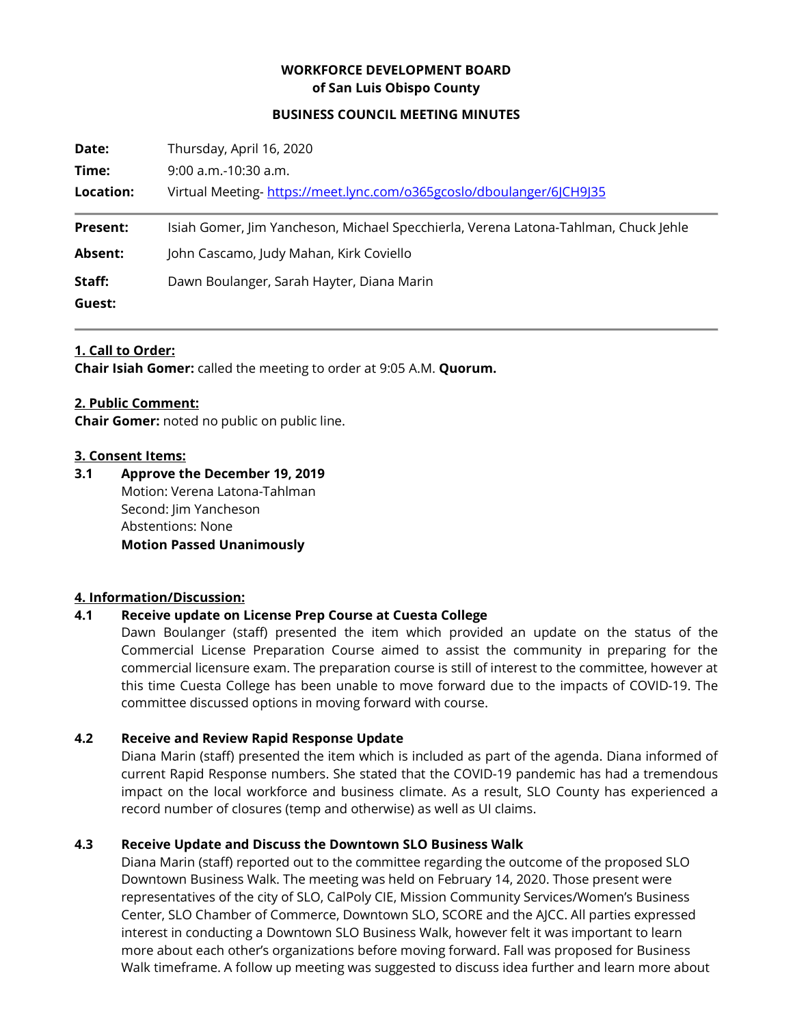# **WORKFORCE DEVELOPMENT BOARD of San Luis Obispo County**

#### **BUSINESS COUNCIL MEETING MINUTES**

| Date:           | Thursday, April 16, 2020                                                            |
|-----------------|-------------------------------------------------------------------------------------|
| Time:           | $9:00$ a.m.-10:30 a.m.                                                              |
| Location:       | Virtual Meeting-https://meet.lync.com/o365gcoslo/dboulanger/6JCH9J35                |
| <b>Present:</b> | Isiah Gomer, Jim Yancheson, Michael Specchierla, Verena Latona-Tahlman, Chuck Jehle |
| <b>Absent:</b>  | John Cascamo, Judy Mahan, Kirk Coviello                                             |
| Staff:          | Dawn Boulanger, Sarah Hayter, Diana Marin                                           |
| Guest:          |                                                                                     |

#### **1. Call to Order:**

**Chair Isiah Gomer:** called the meeting to order at 9:05 A.M. **Quorum.**

### **2. Public Comment:**

**Chair Gomer:** noted no public on public line.

#### **3. Consent Items:**

**3.1 Approve the December 19, 2019** Motion: Verena Latona-Tahlman Second: Iim Yancheson Abstentions: None **Motion Passed Unanimously**

## **4. Information/Discussion:**

## **4.1 Receive update on License Prep Course at Cuesta College**

Dawn Boulanger (staff) presented the item which provided an update on the status of the Commercial License Preparation Course aimed to assist the community in preparing for the commercial licensure exam. The preparation course is still of interest to the committee, however at this time Cuesta College has been unable to move forward due to the impacts of COVID-19. The committee discussed options in moving forward with course.

### **4.2 Receive and Review Rapid Response Update**

Diana Marin (staff) presented the item which is included as part of the agenda. Diana informed of current Rapid Response numbers. She stated that the COVID-19 pandemic has had a tremendous impact on the local workforce and business climate. As a result, SLO County has experienced a record number of closures (temp and otherwise) as well as UI claims.

### **4.3 Receive Update and Discuss the Downtown SLO Business Walk**

Diana Marin (staff) reported out to the committee regarding the outcome of the proposed SLO Downtown Business Walk. The meeting was held on February 14, 2020. Those present were representatives of the city of SLO, CalPoly CIE, Mission Community Services/Women's Business Center, SLO Chamber of Commerce, Downtown SLO, SCORE and the AJCC. All parties expressed interest in conducting a Downtown SLO Business Walk, however felt it was important to learn more about each other's organizations before moving forward. Fall was proposed for Business Walk timeframe. A follow up meeting was suggested to discuss idea further and learn more about